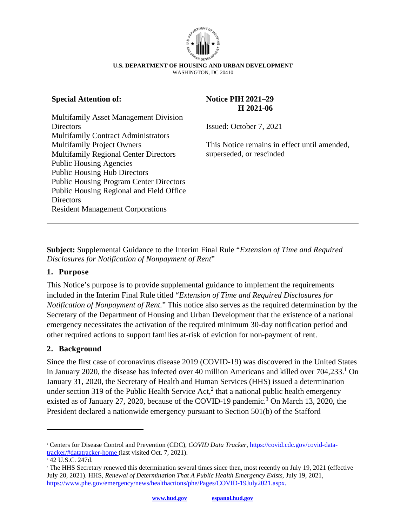

#### **U.S. DEPARTMENT OF HOUSING AND URBAN DEVELOPMENT**  WASHINGTON, DC 20410

### **Special Attention of:**

Multifamily Asset Management Division **Directors** Multifamily Contract Administrators Multifamily Project Owners Multifamily Regional Center Directors Public Housing Agencies Public Housing Hub Directors Public Housing Program Center Directors Public Housing Regional and Field Office **Directors** Resident Management Corporations

### **Notice PIH 2021–29 H 2021-06**

Issued: October 7, 2021

This Notice remains in effect until amended, superseded, or rescinded

**Subject:** Supplemental Guidance to the Interim Final Rule "*Extension of Time and Required Disclosures for Notification of Nonpayment of Rent*"

### **1. Purpose**

This Notice's purpose is to provide supplemental guidance to implement the requirements included in the Interim Final Rule titled "*Extension of Time and Required Disclosures for Notification of Nonpayment of Rent.*" This notice also serves as the required determination by the Secretary of the Department of Housing and Urban Development that the existence of a national emergency necessitates the activation of the required minimum 30-day notification period and other required actions to support families at-risk of eviction for non-payment of rent.

### **2. Background**

Since the first case of coronavirus disease 2019 (COVID-19) was discovered in the United States in January 2020, the disease has infected over 40 million Americans and killed over 704,233.<sup>1</sup> On January 31, 2020, the Secretary of Health and Human Services (HHS) issued a determination under section 319 of the Public Health Service Act, $2$  that a national public health emergency existed as of January 27, 2020, because of the COVID-19 pandemic.<sup>3</sup> On March 13, 2020, the President declared a nationwide emergency pursuant to Section 501(b) of the Stafford

<sup>&</sup>lt;sup>1</sup> Centers for Disease Control and Prevention (CDC), *COVID Data Tracker*[, https://covid.cdc.gov/covid-data](https://covid.cdc.gov/covid-data-tracker/#datatracker-home)[tracker/#datatracker-home](https://covid.cdc.gov/covid-data-tracker/#datatracker-home) (last visited Oct. 7, 2021).

<sup>2</sup> 42 U.S.C. 247d.

<sup>&</sup>lt;sup>3</sup> The HHS Secretary renewed this determination several times since then, most recently on July 19, 2021 (effective July 20, 2021). HHS, *Renewal of Determination That A Public Health Emergency Exists*, July 19, 2021, [https://www.phe.gov/emergency/news/healthactions/phe/Pages/COVID-19July2021.aspx.](https://www.phe.gov/emergency/news/healthactions/phe/Pages/COVID-19July2021.aspx)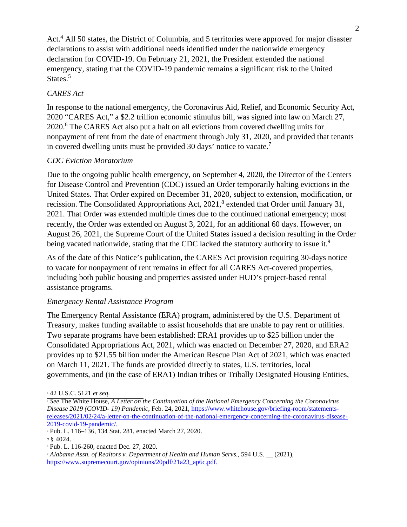Act.<sup>4</sup> All 50 states, the District of Columbia, and 5 territories were approved for major disaster declarations to assist with additional needs identified under the nationwide emergency declaration for COVID-19. On February 21, 2021, the President extended the national emergency, stating that the COVID-19 pandemic remains a significant risk to the United States.<sup>5</sup>

## *CARES Act*

In response to the national emergency, the Coronavirus Aid, Relief, and Economic Security Act, 2020 "CARES Act," a \$2.2 trillion economic stimulus bill, was signed into law on March 27, 2020.<sup>6</sup> The CARES Act also put a halt on all evictions from covered dwelling units for nonpayment of rent from the date of enactment through July 31, 2020, and provided that tenants in covered dwelling units must be provided 30 days' notice to vacate.<sup>7</sup>

## *CDC Eviction Moratorium*

Due to the ongoing public health emergency, on September 4, 2020, the Director of the Centers for Disease Control and Prevention (CDC) issued an Order temporarily halting evictions in the United States. That Order expired on December 31, 2020, subject to extension, modification, or recission. The Consolidated Appropriations Act, 2021,<sup>8</sup> extended that Order until January 31, 2021. That Order was extended multiple times due to the continued national emergency; most recently, the Order was extended on August 3, 2021, for an additional 60 days. However, on August 26, 2021, the Supreme Court of the United States issued a decision resulting in the Order being vacated nationwide, stating that the CDC lacked the statutory authority to issue it.<sup>9</sup>

As of the date of this Notice's publication, the CARES Act provision requiring 30-days notice to vacate for nonpayment of rent remains in effect for all CARES Act-covered properties, including both public housing and properties assisted under HUD's project-based rental assistance programs.

## *Emergency Rental Assistance Program*

The Emergency Rental Assistance (ERA) program, administered by the U.S. Department of Treasury, makes funding available to assist households that are unable to pay rent or utilities. Two separate programs have been established: ERA1 provides up to \$25 billion under the Consolidated Appropriations Act, 2021, which was enacted on December 27, 2020, and ERA2 provides up to \$21.55 billion under the American Rescue Plan Act of 2021, which was enacted on March 11, 2021. The funds are provided directly to states, U.S. territories, local governments, and (in the case of ERA1) Indian tribes or Tribally Designated Housing Entities,

<sup>4</sup> 42 U.S.C. 5121 *et seq*.

<sup>5</sup>  *See* The White House, *A Letter on the Continuation of the National Emergency Concerning the Coronavirus Disease 2019 (COVID- 19) Pandemic*, Feb. 24, 2021[, https://www.whitehouse.gov/briefing-room/statements](https://www.whitehouse.gov/briefing-room/statements-releases/2021/02/24/a-letter-on-the-continuation-of-the-national-emergency-concerning-the-coronavirus-disease-2019-covid-19-pandemic/)[releases/2021/02/24/a-letter-on-the-continuation-of-the-national-emergency-concerning-the-coronavirus-disease-](https://www.whitehouse.gov/briefing-room/statements-releases/2021/02/24/a-letter-on-the-continuation-of-the-national-emergency-concerning-the-coronavirus-disease-2019-covid-19-pandemic/)[2019-covid-19-pandemic/.](https://www.whitehouse.gov/briefing-room/statements-releases/2021/02/24/a-letter-on-the-continuation-of-the-national-emergency-concerning-the-coronavirus-disease-2019-covid-19-pandemic/)

<sup>6</sup> Pub. L. 116–136, 134 Stat. 281, enacted March 27, 2020.

<sup>7</sup>§ 4024.

<sup>8</sup> Pub. L. 116-260, enacted Dec. 27, 2020.

<sup>9</sup>  *Alabama Assn. of Realtors v. Department of Health and Human Servs.*, 594 U.S. \_\_ (2021), [https://www.supremecourt.gov/opinions/20pdf/21a23\\_ap6c.pdf.](https://www.supremecourt.gov/opinions/20pdf/21a23_ap6c.pdf.)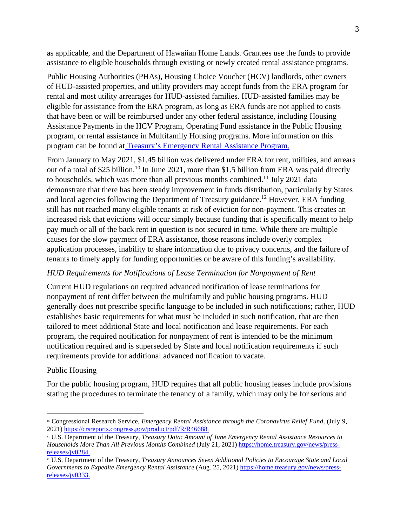as applicable, and the Department of Hawaiian Home Lands. Grantees use the funds to provide assistance to eligible households through existing or newly created rental assistance programs.

Public Housing Authorities (PHAs), Housing Choice Voucher (HCV) landlords, other owners of HUD-assisted properties, and utility providers may accept funds from the ERA program for rental and most utility arrearages for HUD-assisted families. HUD-assisted families may be eligible for assistance from the ERA program, as long as ERA funds are not applied to costs that have been or will be reimbursed under any other federal assistance, including Housing Assistance Payments in the HCV Program, Operating Fund assistance in the Public Housing program, or rental assistance in Multifamily Housing programs. More information on this program can be found a[t Treasury's Emergency Rental Assistance Program.](https://home.treasury.gov/policy-issues/coronavirus/assistance-for-state-local-and-tribal-governments/emergency-rental-assistance-program)

From January to May 2021, \$1.45 billion was delivered under ERA for rent, utilities, and arrears out of a total of \$25 billion.<sup>10</sup> In June 2021, more than \$1.5 billion from ERA was paid directly to households, which was more than all previous months combined.<sup>11</sup> July 2021 data demonstrate that there has been steady improvement in funds distribution, particularly by States and local agencies following the Department of Treasury guidance.<sup>12</sup> However, ERA funding still has not reached many eligible tenants at risk of eviction for non-payment. This creates an increased risk that evictions will occur simply because funding that is specifically meant to help pay much or all of the back rent in question is not secured in time. While there are multiple causes for the slow payment of ERA assistance, those reasons include overly complex application processes, inability to share information due to privacy concerns, and the failure of tenants to timely apply for funding opportunities or be aware of this funding's availability.

### *HUD Requirements for Notifications of Lease Termination for Nonpayment of Rent*

Current HUD regulations on required advanced notification of lease terminations for nonpayment of rent differ between the multifamily and public housing programs. HUD generally does not prescribe specific language to be included in such notifications; rather, HUD establishes basic requirements for what must be included in such notification, that are then tailored to meet additional State and local notification and lease requirements. For each program, the required notification for nonpayment of rent is intended to be the minimum notification required and is superseded by State and local notification requirements if such requirements provide for additional advanced notification to vacate.

## Public Housing

For the public housing program, HUD requires that all public housing leases include provisions stating the procedures to terminate the tenancy of a family, which may only be for serious and

<sup>10</sup> Congressional Research Service*, Emergency Rental Assistance through the Coronavirus Relief Fund*, (July 9, 2021)<https://crsreports.congress.gov/product/pdf/R/R46688.>

<sup>11</sup> U.S. Department of the Treasury, *Treasury Data: Amount of June Emergency Rental Assistance Resources to Households More Than All Previous Months Combined* (July 21, 2021) [https://home.treasury.gov/news/press](https://home.treasury.gov/news/press-releases/jy0284.)[releases/jy0284.](https://home.treasury.gov/news/press-releases/jy0284.)

<sup>12</sup> U.S. Department of the Treasury, *Treasury Announces Seven Additional Policies to Encourage State and Local Governments to Expedite Emergency Rental Assistance* (Aug. 25, 2021) [https://home.treasury.gov/news/press](https://home.treasury.gov/news/press-releases/jy0333.)[releases/jy0333.](https://home.treasury.gov/news/press-releases/jy0333.)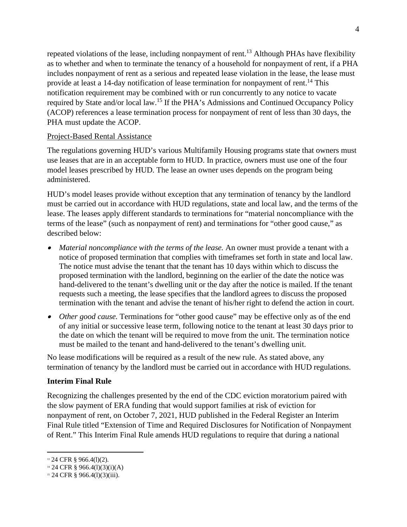repeated violations of the lease, including nonpayment of rent.<sup>13</sup> Although PHAs have flexibility as to whether and when to terminate the tenancy of a household for nonpayment of rent, if a PHA includes nonpayment of rent as a serious and repeated lease violation in the lease, the lease must provide at least a 14-day notification of lease termination for nonpayment of rent.<sup>14</sup> This notification requirement may be combined with or run concurrently to any notice to vacate required by State and/or local law.<sup>15</sup> If the PHA's Admissions and Continued Occupancy Policy (ACOP) references a lease termination process for nonpayment of rent of less than 30 days, the PHA must update the ACOP.

#### Project-Based Rental Assistance

The regulations governing HUD's various Multifamily Housing programs state that owners must use leases that are in an acceptable form to HUD. In practice, owners must use one of the four model leases prescribed by HUD. The lease an owner uses depends on the program being administered.

HUD's model leases provide without exception that any termination of tenancy by the landlord must be carried out in accordance with HUD regulations, state and local law, and the terms of the lease. The leases apply different standards to terminations for "material noncompliance with the terms of the lease" (such as nonpayment of rent) and terminations for "other good cause," as described below:

- 0 *Material noncompliance with the terms of the lease.* An owner must provide a tenant with a notice of proposed termination that complies with timeframes set forth in state and local law. The notice must advise the tenant that the tenant has 10 days within which to discuss the proposed termination with the landlord, beginning on the earlier of the date the notice was hand-delivered to the tenant's dwelling unit or the day after the notice is mailed. If the tenant requests such a meeting, the lease specifies that the landlord agrees to discuss the proposed termination with the tenant and advise the tenant of his/her right to defend the action in court.
- *Other good cause.* Terminations for "other good cause" may be effective only as of the end of any initial or successive lease term, following notice to the tenant at least 30 days prior to the date on which the tenant will be required to move from the unit. The termination notice must be mailed to the tenant and hand-delivered to the tenant's dwelling unit.

No lease modifications will be required as a result of the new rule. As stated above, any termination of tenancy by the landlord must be carried out in accordance with HUD regulations.

### **Interim Final Rule**

Recognizing the challenges presented by the end of the CDC eviction moratorium paired with the slow payment of ERA funding that would support families at risk of eviction for nonpayment of rent, on October 7, 2021, HUD published in the Federal Register an Interim Final Rule titled "Extension of Time and Required Disclosures for Notification of Nonpayment of Rent." This Interim Final Rule amends HUD regulations to require that during a national

<sup>&</sup>lt;sup>13</sup> 24 CFR § 966.4(1)(2).

 $14$  24 CFR § 966.4(1)(3)(i)(A)

<sup>15</sup> 24 CFR § 966.4(l)(3)(iii).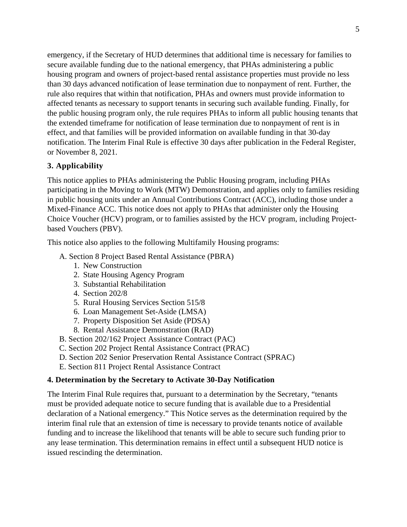emergency, if the Secretary of HUD determines that additional time is necessary for families to secure available funding due to the national emergency, that PHAs administering a public housing program and owners of project-based rental assistance properties must provide no less than 30 days advanced notification of lease termination due to nonpayment of rent. Further, the rule also requires that within that notification, PHAs and owners must provide information to affected tenants as necessary to support tenants in securing such available funding. Finally, for the public housing program only, the rule requires PHAs to inform all public housing tenants that the extended timeframe for notification of lease termination due to nonpayment of rent is in effect, and that families will be provided information on available funding in that 30-day notification. The Interim Final Rule is effective 30 days after publication in the Federal Register, or November 8, 2021.

## **3. Applicability**

This notice applies to PHAs administering the Public Housing program, including PHAs participating in the Moving to Work (MTW) Demonstration, and applies only to families residing in public housing units under an Annual Contributions Contract (ACC), including those under a Mixed-Finance ACC. This notice does not apply to PHAs that administer only the Housing Choice Voucher (HCV) program, or to families assisted by the HCV program, including Projectbased Vouchers (PBV).

This notice also applies to the following Multifamily Housing programs:

- A. Section 8 Project Based Rental Assistance (PBRA)
	- 1. New Construction
	- 2. State Housing Agency Program
	- 3. Substantial Rehabilitation
	- 4. Section 202/8
	- 5. Rural Housing Services Section 515/8
	- 6. Loan Management Set-Aside (LMSA)
	- 7. Property Disposition Set Aside (PDSA)
	- 8. Rental Assistance Demonstration (RAD)
- B. Section 202/162 Project Assistance Contract (PAC)
- C. Section 202 Project Rental Assistance Contract (PRAC)
- D. Section 202 Senior Preservation Rental Assistance Contract (SPRAC)
- E. Section 811 Project Rental Assistance Contract

#### **4. Determination by the Secretary to Activate 30-Day Notification**

The Interim Final Rule requires that, pursuant to a determination by the Secretary, "tenants must be provided adequate notice to secure funding that is available due to a Presidential declaration of a National emergency." This Notice serves as the determination required by the interim final rule that an extension of time is necessary to provide tenants notice of available funding and to increase the likelihood that tenants will be able to secure such funding prior to any lease termination. This determination remains in effect until a subsequent HUD notice is issued rescinding the determination.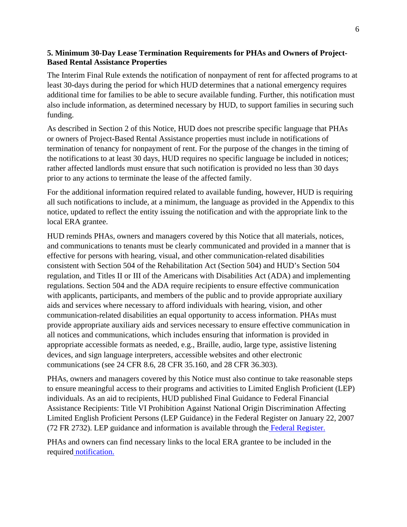## **5. Minimum 30-Day Lease Termination Requirements for PHAs and Owners of Project-Based Rental Assistance Properties**

The Interim Final Rule extends the notification of nonpayment of rent for affected programs to at least 30-days during the period for which HUD determines that a national emergency requires additional time for families to be able to secure available funding. Further, this notification must also include information, as determined necessary by HUD, to support families in securing such funding.

As described in Section 2 of this Notice, HUD does not prescribe specific language that PHAs or owners of Project-Based Rental Assistance properties must include in notifications of termination of tenancy for nonpayment of rent. For the purpose of the changes in the timing of the notifications to at least 30 days, HUD requires no specific language be included in notices; rather affected landlords must ensure that such notification is provided no less than 30 days prior to any actions to terminate the lease of the affected family.

For the additional information required related to available funding, however, HUD is requiring all such notifications to include, at a minimum, the language as provided in the Appendix to this notice, updated to reflect the entity issuing the notification and with the appropriate link to the local ERA grantee.

HUD reminds PHAs, owners and managers covered by this Notice that all materials, notices, and communications to tenants must be clearly communicated and provided in a manner that is effective for persons with hearing, visual, and other communication-related disabilities consistent with Section 504 of the Rehabilitation Act (Section 504) and HUD's Section 504 regulation, and Titles II or III of the Americans with Disabilities Act (ADA) and implementing regulations. Section 504 and the ADA require recipients to ensure effective communication with applicants, participants, and members of the public and to provide appropriate auxiliary aids and services where necessary to afford individuals with hearing, vision, and other communication-related disabilities an equal opportunity to access information. PHAs must provide appropriate auxiliary aids and services necessary to ensure effective communication in all notices and communications, which includes ensuring that information is provided in appropriate accessible formats as needed, e.g., Braille, audio, large type, assistive listening devices, and sign language interpreters, accessible websites and other electronic communications (see 24 CFR 8.6, 28 CFR 35.160, and 28 CFR 36.303).

PHAs, owners and managers covered by this Notice must also continue to take reasonable steps to ensure meaningful access to their programs and activities to Limited English Proficient (LEP) individuals. As an aid to recipients, HUD published Final Guidance to Federal Financial Assistance Recipients: Title VI Prohibition Against National Origin Discrimination Affecting Limited English Proficient Persons (LEP Guidance) in the Federal Register on January 22, 2007 (72 FR 2732). LEP guidance and information is available through th[e Federal Register.](https://www.federalregister.gov/documents/2007/01/22/07-217/final-guidance-to-federal-financial-assistance-recipients-regarding-title-vi-prohibition-against)

PHAs and owners can find necessary links to the local ERA grantee to be included in the require[d notification.](https://home.treasury.gov/policy-issues/coronavirus/assistance-for-state-local-and-tribal-governments/emergency-rental-assistance-program/program-index)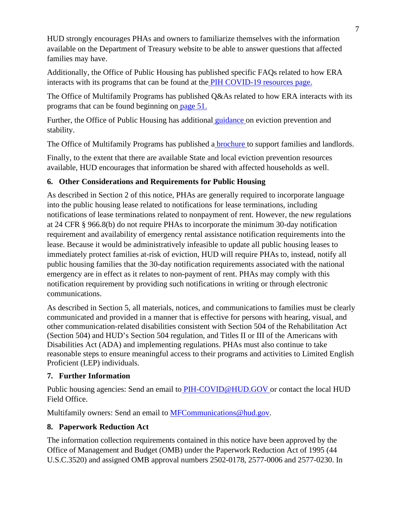HUD strongly encourages PHAs and owners to familiarize themselves with the information available on the Department of Treasury website to be able to answer questions that affected families may have.

Additionally, the Office of Public Housing has published specific FAQs related to how ERA interacts with its programs that can be found at th[e PIH COVID-19 resources page.](https://www.hud.gov/sites/dfiles/PIH/documents/HUD_FAQs_July31_CDC_Extension.pdf)

The Office of Multifamily Programs has published Q&As related to how ERA interacts with its programs that can be found beginning o[n page 51.](https://www.hud.gov/sites/dfiles/Housing/documents/MF_COVID-19%20QA_8_4_21.pdf)

Further, the Office of Public Housing has additiona[l guidance](https://www.hud.gov/program_offices/public_indian_housing/covid_19_resources#2) on eviction prevention and stability.

The Office of Multifamily Programs has published [a brochure](https://www.hud.gov/sites/dfiles/Housing/documents/MF_Tenant_Concerns_COVID-19_Brochure.pdf.) to support families and landlords.

Finally, to the extent that there are available State and local eviction prevention resources available, HUD encourages that information be shared with affected households as well.

# **6. Other Considerations and Requirements for Public Housing**

As described in Section 2 of this notice, PHAs are generally required to incorporate language into the public housing lease related to notifications for lease terminations, including notifications of lease terminations related to nonpayment of rent. However, the new regulations at 24 CFR § 966.8(b) do not require PHAs to incorporate the minimum 30-day notification requirement and availability of emergency rental assistance notification requirements into the lease. Because it would be administratively infeasible to update all public housing leases to immediately protect families at-risk of eviction, HUD will require PHAs to, instead, notify all public housing families that the 30-day notification requirements associated with the national emergency are in effect as it relates to non-payment of rent. PHAs may comply with this notification requirement by providing such notifications in writing or through electronic communications.

As described in Section 5, all materials, notices, and communications to families must be clearly communicated and provided in a manner that is effective for persons with hearing, visual, and other communication-related disabilities consistent with Section 504 of the Rehabilitation Act (Section 504) and HUD's Section 504 regulation, and Titles II or III of the Americans with Disabilities Act (ADA) and implementing regulations. PHAs must also continue to take reasonable steps to ensure meaningful access to their programs and activities to Limited English Proficient (LEP) individuals.

# **7. Further Information**

Public housing agencies: Send an email t[o PIH-COVID@HUD.GOV](mailto:PIH-COVID@HUD.GOV) or contact the local HUD Field Office.

Multifamily owners: Send an email to **MFCommunications@hud.gov.** 

# **8. Paperwork Reduction Act**

The information collection requirements contained in this notice have been approved by the Office of Management and Budget (OMB) under the Paperwork Reduction Act of 1995 (44 U.S.C.3520) and assigned OMB approval numbers 2502-0178, 2577-0006 and 2577-0230. In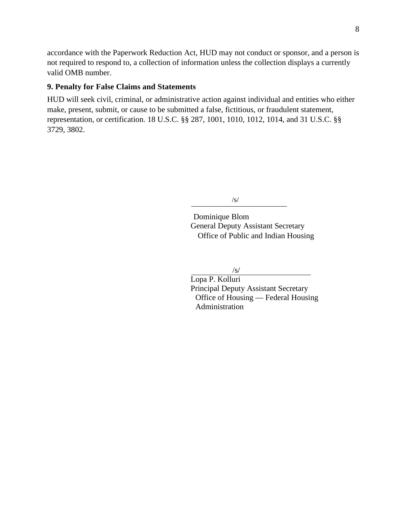accordance with the Paperwork Reduction Act, HUD may not conduct or sponsor, and a person is not required to respond to, a collection of information unless the collection displays a currently valid OMB number.

### **9. Penalty for False Claims and Statements**

HUD will seek civil, criminal, or administrative action against individual and entities who either make, present, submit, or cause to be submitted a false, fictitious, or fraudulent statement, representation, or certification. 18 U.S.C. §§ 287, 1001, 1010, 1012, 1014, and 31 U.S.C. §§ 3729, 3802.

/s/

Dominique Blom General Deputy Assistant Secretary Office of Public and Indian Housing

/s/

Lopa P. Kolluri Principal Deputy Assistant Secretary Office of Housing — Federal Housing Administration